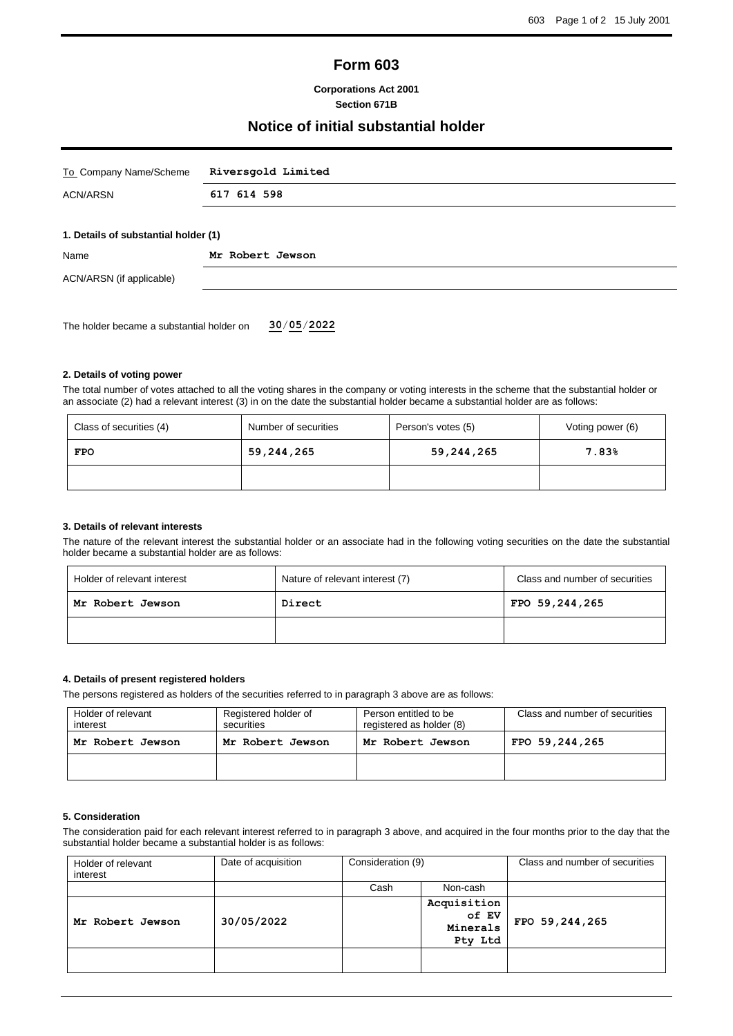# **Form 603**

### **Corporations Act 2001 Section 671B**

## **Notice of initial substantial holder**

| To Company Name/Scheme                    | Riversgold Limited |  |
|-------------------------------------------|--------------------|--|
| <b>ACN/ARSN</b>                           | 617 614 598        |  |
| 1. Details of substantial holder (1)      |                    |  |
| Name                                      | Mr Robert Jewson   |  |
| ACN/ARSN (if applicable)                  |                    |  |
|                                           |                    |  |
| The holder became a substantial holder on | 30/05/2022         |  |

### **2. Details of voting power**

The total number of votes attached to all the voting shares in the company or voting interests in the scheme that the substantial holder or an associate (2) had a relevant interest (3) in on the date the substantial holder became a substantial holder are as follows:

| Class of securities (4) | Number of securities | Person's votes (5) | Voting power (6) |
|-------------------------|----------------------|--------------------|------------------|
| <b>FPO</b>              | 59,244,265           | 59,244,265         | 7.83%            |
|                         |                      |                    |                  |

#### **3. Details of relevant interests**

The nature of the relevant interest the substantial holder or an associate had in the following voting securities on the date the substantial holder became a substantial holder are as follows:

| Holder of relevant interest | Nature of relevant interest (7) | Class and number of securities |
|-----------------------------|---------------------------------|--------------------------------|
| Mr Robert Jewson            | Direct                          | FPO 59,244,265                 |
|                             |                                 |                                |

### **4. Details of present registered holders**

The persons registered as holders of the securities referred to in paragraph 3 above are as follows:

| Holder of relevant<br>interest | Registered holder of<br>securities | Person entitled to be<br>registered as holder (8) | Class and number of securities |
|--------------------------------|------------------------------------|---------------------------------------------------|--------------------------------|
| Mr Robert Jewson               | Mr Robert Jewson                   | Mr Robert Jewson                                  | FPO 59,244,265                 |
|                                |                                    |                                                   |                                |

## **5. Consideration**

The consideration paid for each relevant interest referred to in paragraph 3 above, and acquired in the four months prior to the day that the substantial holder became a substantial holder is as follows:

| Holder of relevant<br>interest | Date of acquisition | Consideration (9) |                                             | Class and number of securities |
|--------------------------------|---------------------|-------------------|---------------------------------------------|--------------------------------|
|                                |                     | Cash              | Non-cash                                    |                                |
| Mr Robert Jewson               | 30/05/2022          |                   | Acquisition<br>of EV<br>Minerals<br>Pty Ltd | FPO 59,244,265                 |
|                                |                     |                   |                                             |                                |